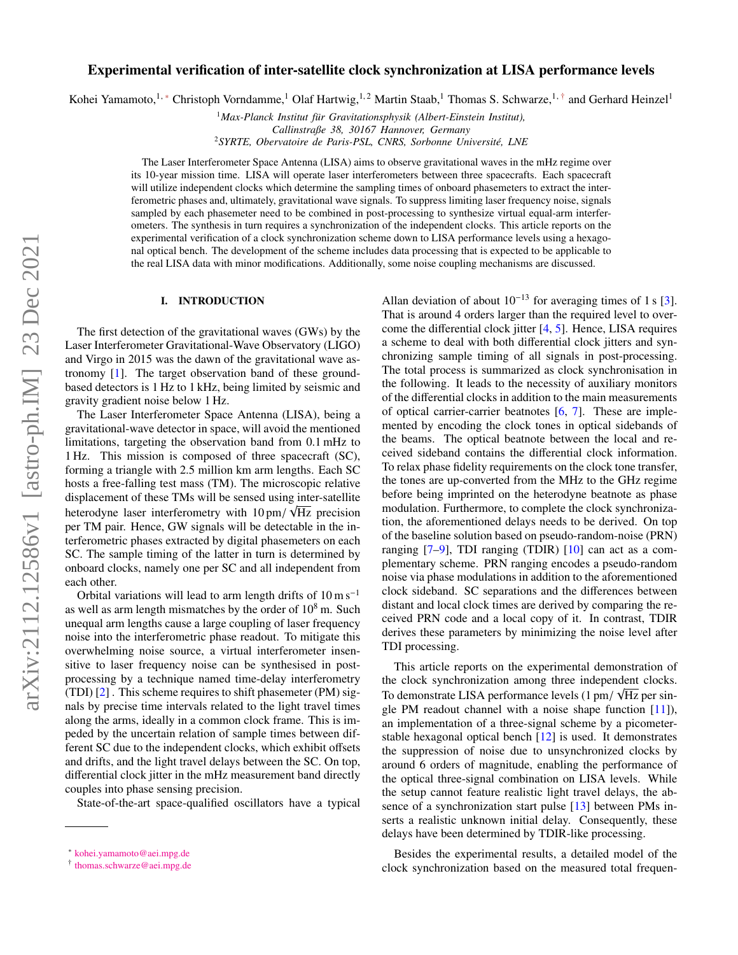# Experimental verification of inter-satellite clock synchronization at LISA performance levels

Kohei Yamamoto,<sup>1,\*</sup> Christoph Vorndamme,<sup>1</sup> Olaf Hartwig,<sup>1,2</sup> Martin Staab,<sup>1</sup> Thomas S. Schwarze,<sup>1,[†](#page-0-1)</sup> and Gerhard Heinzel<sup>1</sup>

<sup>1</sup>Max-Planck Institut für Gravitationsphysik (Albert-Einstein Institut), *Callinstraße 38, 30167 Hannover, Germany*

<sup>2</sup> SYRTE, Obervatoire de Paris-PSL, CNRS, Sorbonne Université, LNE

The Laser Interferometer Space Antenna (LISA) aims to observe gravitational waves in the mHz regime over its 10-year mission time. LISA will operate laser interferometers between three spacecrafts. Each spacecraft will utilize independent clocks which determine the sampling times of onboard phasemeters to extract the interferometric phases and, ultimately, gravitational wave signals. To suppress limiting laser frequency noise, signals sampled by each phasemeter need to be combined in post-processing to synthesize virtual equal-arm interferometers. The synthesis in turn requires a synchronization of the independent clocks. This article reports on the experimental verification of a clock synchronization scheme down to LISA performance levels using a hexagonal optical bench. The development of the scheme includes data processing that is expected to be applicable to the real LISA data with minor modifications. Additionally, some noise coupling mechanisms are discussed.

#### I. INTRODUCTION

The first detection of the gravitational waves (GWs) by the Laser Interferometer Gravitational-Wave Observatory (LIGO) and Virgo in 2015 was the dawn of the gravitational wave astronomy [\[1\]](#page-7-0). The target observation band of these groundbased detectors is 1 Hz to 1 kHz, being limited by seismic and gravity gradient noise below 1 Hz.

The Laser Interferometer Space Antenna (LISA), being a gravitational-wave detector in space, will avoid the mentioned limitations, targeting the observation band from 0.1 mHz to 1 Hz. This mission is composed of three spacecraft (SC), forming a triangle with 2.5 million km arm lengths. Each SC hosts a free-falling test mass (TM). The microscopic relative displacement of these TMs will be sensed using inter-satellite √ heterodyne laser interferometry with 10 pm/  $\sqrt{Hz}$  precision<br>ner TM pair. Hence GW signals will be detectable in the inper TM pair. Hence, GW signals will be detectable in the interferometric phases extracted by digital phasemeters on each SC. The sample timing of the latter in turn is determined by onboard clocks, namely one per SC and all independent from each other.

Orbital variations will lead to arm length drifts of  $10 \text{ m s}^{-1}$ as well as arm length mismatches by the order of  $10^8$  m. Such unequal arm lengths cause a large coupling of laser frequency noise into the interferometric phase readout. To mitigate this overwhelming noise source, a virtual interferometer insensitive to laser frequency noise can be synthesised in postprocessing by a technique named time-delay interferometry (TDI) [\[2\]](#page-7-1) . This scheme requires to shift phasemeter (PM) signals by precise time intervals related to the light travel times along the arms, ideally in a common clock frame. This is impeded by the uncertain relation of sample times between different SC due to the independent clocks, which exhibit offsets and drifts, and the light travel delays between the SC. On top, differential clock jitter in the mHz measurement band directly couples into phase sensing precision.

State-of-the-art space-qualified oscillators have a typical

Allan deviation of about  $10^{-13}$  for averaging times of 1 s [\[3\]](#page-8-0). That is around 4 orders larger than the required level to overcome the differential clock jitter [\[4,](#page-8-1) [5\]](#page-8-2). Hence, LISA requires a scheme to deal with both differential clock jitters and synchronizing sample timing of all signals in post-processing. The total process is summarized as clock synchronisation in the following. It leads to the necessity of auxiliary monitors of the differential clocks in addition to the main measurements of optical carrier-carrier beatnotes  $[6, 7]$  $[6, 7]$  $[6, 7]$ . These are implemented by encoding the clock tones in optical sidebands of the beams. The optical beatnote between the local and received sideband contains the differential clock information. To relax phase fidelity requirements on the clock tone transfer, the tones are up-converted from the MHz to the GHz regime before being imprinted on the heterodyne beatnote as phase modulation. Furthermore, to complete the clock synchronization, the aforementioned delays needs to be derived. On top of the baseline solution based on pseudo-random-noise (PRN) ranging [\[7–](#page-8-4)[9\]](#page-8-5), TDI ranging (TDIR) [\[10\]](#page-8-6) can act as a complementary scheme. PRN ranging encodes a pseudo-random noise via phase modulations in addition to the aforementioned clock sideband. SC separations and the differences between distant and local clock times are derived by comparing the received PRN code and a local copy of it. In contrast, TDIR derives these parameters by minimizing the noise level after TDI processing.

This article reports on the experimental demonstration of the clock synchronization among three independent clocks. To demonstrate LISA performance levels (1 pm/  $\sqrt{Hz}$  per sin-<br>gle PM readout channel with a noise shape function [11]) gle PM readout channel with a noise shape function [\[11\]](#page-8-7)), an implementation of a three-signal scheme by a picometerstable hexagonal optical bench [\[12\]](#page-8-8) is used. It demonstrates the suppression of noise due to unsynchronized clocks by around 6 orders of magnitude, enabling the performance of the optical three-signal combination on LISA levels. While the setup cannot feature realistic light travel delays, the absence of a synchronization start pulse [\[13\]](#page-8-9) between PMs inserts a realistic unknown initial delay. Consequently, these delays have been determined by TDIR-like processing.

Besides the experimental results, a detailed model of the clock synchronization based on the measured total frequen-

<span id="page-0-0"></span><sup>∗</sup> [kohei.yamamoto@aei.mpg.de](mailto:kohei.yamamoto@aei.mpg.de)

<span id="page-0-1"></span><sup>†</sup> [thomas.schwarze@aei.mpg.de](mailto:thomas.schwarze@aei.mpg.de)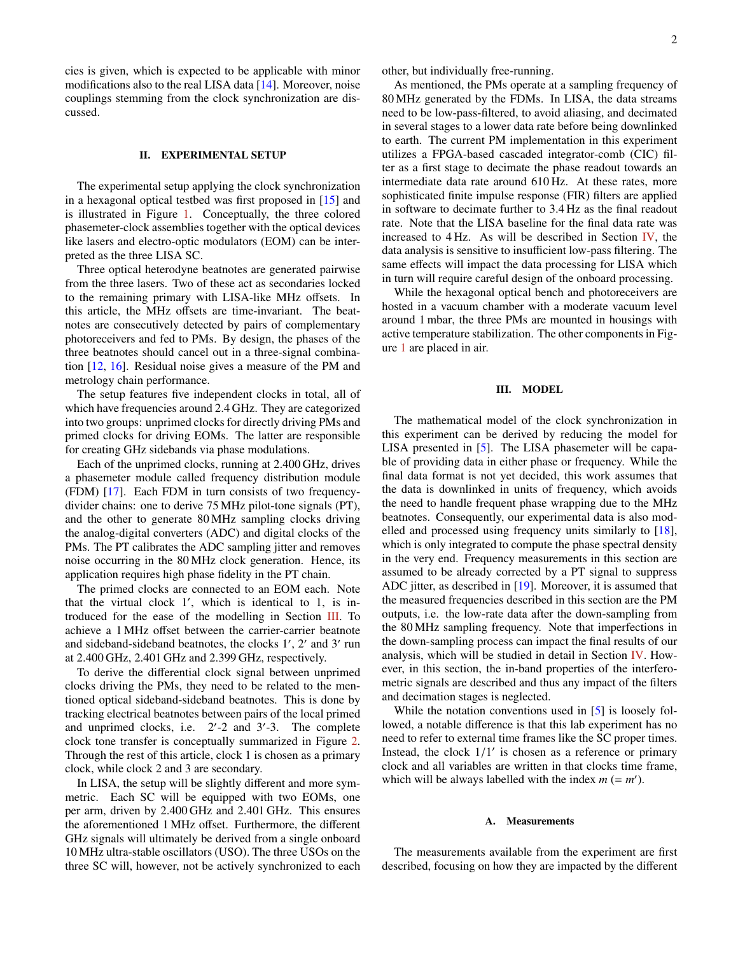cies is given, which is expected to be applicable with minor modifications also to the real LISA data [\[14\]](#page-8-10). Moreover, noise couplings stemming from the clock synchronization are discussed.

#### <span id="page-1-1"></span>II. EXPERIMENTAL SETUP

The experimental setup applying the clock synchronization in a hexagonal optical testbed was first proposed in [\[15\]](#page-8-11) and is illustrated in Figure [1.](#page-2-0) Conceptually, the three colored phasemeter-clock assemblies together with the optical devices like lasers and electro-optic modulators (EOM) can be interpreted as the three LISA SC.

Three optical heterodyne beatnotes are generated pairwise from the three lasers. Two of these act as secondaries locked to the remaining primary with LISA-like MHz offsets. In this article, the MHz offsets are time-invariant. The beatnotes are consecutively detected by pairs of complementary photoreceivers and fed to PMs. By design, the phases of the three beatnotes should cancel out in a three-signal combination [\[12,](#page-8-8) [16\]](#page-8-12). Residual noise gives a measure of the PM and metrology chain performance.

The setup features five independent clocks in total, all of which have frequencies around 2.4 GHz. They are categorized into two groups: unprimed clocks for directly driving PMs and primed clocks for driving EOMs. The latter are responsible for creating GHz sidebands via phase modulations.

Each of the unprimed clocks, running at 2.400 GHz, drives a phasemeter module called frequency distribution module (FDM) [\[17\]](#page-8-13). Each FDM in turn consists of two frequencydivider chains: one to derive 75 MHz pilot-tone signals (PT), and the other to generate 80 MHz sampling clocks driving the analog-digital converters (ADC) and digital clocks of the PMs. The PT calibrates the ADC sampling jitter and removes noise occurring in the 80 MHz clock generation. Hence, its application requires high phase fidelity in the PT chain.

The primed clocks are connected to an EOM each. Note that the virtual clock  $1'$ , which is identical to  $1$ , is introduced for the ease of the modelling in Section [III.](#page-1-0) To achieve a 1 MHz offset between the carrier-carrier beatnote and sideband-sideband beatnotes, the clocks 1', 2' and 3' run at 2.400 GHz, 2.401 GHz and 2.399 GHz, respectively.

To derive the differential clock signal between unprimed clocks driving the PMs, they need to be related to the mentioned optical sideband-sideband beatnotes. This is done by tracking electrical beatnotes between pairs of the local primed and unprimed clocks, i.e.  $2'$ -2 and  $3'$ -3. The complete clock tone transfer is conceptually summarized in Figure [2.](#page-2-1) Through the rest of this article, clock 1 is chosen as a primary clock, while clock 2 and 3 are secondary.

In LISA, the setup will be slightly different and more symmetric. Each SC will be equipped with two EOMs, one per arm, driven by 2.400 GHz and 2.401 GHz. This ensures the aforementioned 1 MHz offset. Furthermore, the different GHz signals will ultimately be derived from a single onboard 10 MHz ultra-stable oscillators (USO). The three USOs on the three SC will, however, not be actively synchronized to each other, but individually free-running.

As mentioned, the PMs operate at a sampling frequency of 80 MHz generated by the FDMs. In LISA, the data streams need to be low-pass-filtered, to avoid aliasing, and decimated in several stages to a lower data rate before being downlinked to earth. The current PM implementation in this experiment utilizes a FPGA-based cascaded integrator-comb (CIC) filter as a first stage to decimate the phase readout towards an intermediate data rate around 610 Hz. At these rates, more sophisticated finite impulse response (FIR) filters are applied in software to decimate further to 3.4 Hz as the final readout rate. Note that the LISA baseline for the final data rate was increased to 4 Hz. As will be described in Section [IV,](#page-4-0) the data analysis is sensitive to insufficient low-pass filtering. The same effects will impact the data processing for LISA which in turn will require careful design of the onboard processing.

While the hexagonal optical bench and photoreceivers are hosted in a vacuum chamber with a moderate vacuum level around 1 mbar, the three PMs are mounted in housings with active temperature stabilization. The other components in Figure [1](#page-2-0) are placed in air.

#### <span id="page-1-0"></span>III. MODEL

The mathematical model of the clock synchronization in this experiment can be derived by reducing the model for LISA presented in [\[5\]](#page-8-2). The LISA phasemeter will be capable of providing data in either phase or frequency. While the final data format is not yet decided, this work assumes that the data is downlinked in units of frequency, which avoids the need to handle frequent phase wrapping due to the MHz beatnotes. Consequently, our experimental data is also modelled and processed using frequency units similarly to [\[18\]](#page-8-14), which is only integrated to compute the phase spectral density in the very end. Frequency measurements in this section are assumed to be already corrected by a PT signal to suppress ADC jitter, as described in [\[19\]](#page-8-15). Moreover, it is assumed that the measured frequencies described in this section are the PM outputs, i.e. the low-rate data after the down-sampling from the 80 MHz sampling frequency. Note that imperfections in the down-sampling process can impact the final results of our analysis, which will be studied in detail in Section [IV.](#page-4-0) However, in this section, the in-band properties of the interferometric signals are described and thus any impact of the filters and decimation stages is neglected.

While the notation conventions used in [\[5\]](#page-8-2) is loosely followed, a notable difference is that this lab experiment has no need to refer to external time frames like the SC proper times. Instead, the clock  $1/1'$  is chosen as a reference or primary clock and all variables are written in that clocks time frame clock and all variables are written in that clocks time frame, which will be always labelled with the index  $m (= m')$ .

### A. Measurements

The measurements available from the experiment are first described, focusing on how they are impacted by the different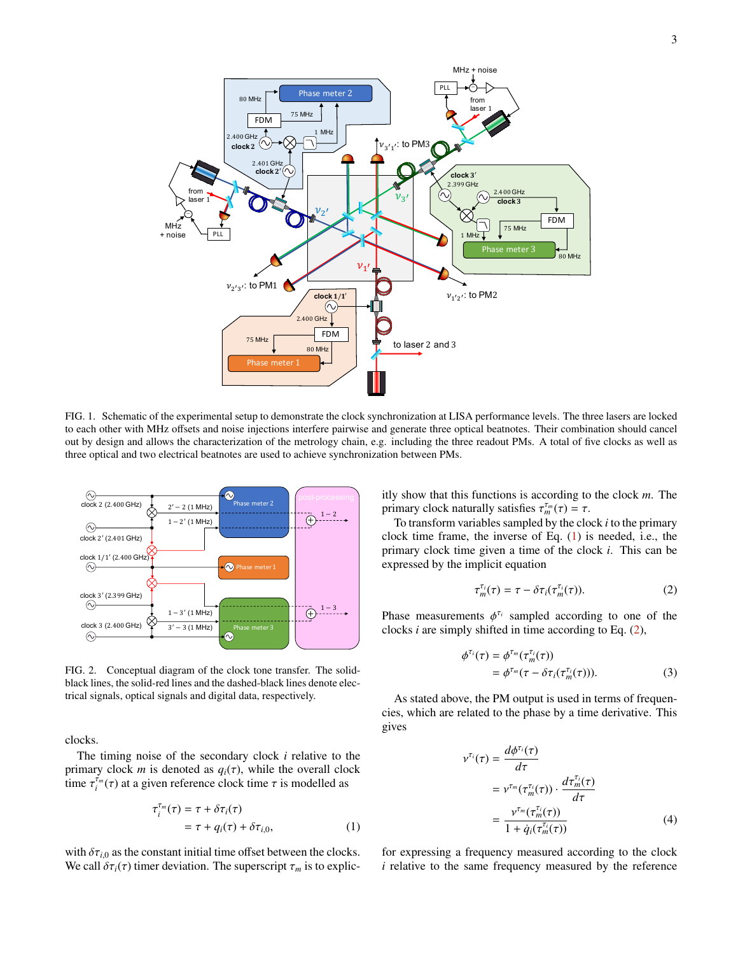

<span id="page-2-0"></span>FIG. 1. Schematic of the experimental setup to demonstrate the clock synchronization at LISA performance levels. The three lasers are locked to each other with MHz offsets and noise injections interfere pairwise and generate three optical beatnotes. Their combination should cancel out by design and allows the characterization of the metrology chain, e.g. including the three readout PMs. A total of five clocks as well as three optical and two electrical beatnotes are used to achieve synchronization between PMs.



<span id="page-2-1"></span>FIG. 2. Conceptual diagram of the clock tone transfer. The solidblack lines, the solid-red lines and the dashed-black lines denote electrical signals, optical signals and digital data, respectively.

clocks.

The timing noise of the secondary clock *i* relative to the primary clock *m* is denoted as  $q_i(\tau)$ , while the overall clock time  $\tau_i^{\tau_m}(\tau)$  at a given reference clock time  $\tau$  is modelled as

$$
\tau_i^{\tau_m}(\tau) = \tau + \delta \tau_i(\tau)
$$
  
=  $\tau + q_i(\tau) + \delta \tau_{i,0},$  (1)

with  $\delta\tau_{i,0}$  as the constant initial time offset between the clocks. We call  $\delta \tau_i(\tau)$  timer deviation. The superscript  $\tau_m$  is to explicitly show that this functions is according to the clock *m*. The primary clock naturally satisfies  $\tau_m^{\tau_m}(\tau) = \tau$ .<br>To transform variables sampled by the clo

To transform variables sampled by the clock *i* to the primary clock time frame, the inverse of Eq.  $(1)$  is needed, i.e., the primary clock time given a time of the clock *i*. This can be expressed by the implicit equation

<span id="page-2-3"></span>
$$
\tau_m^{\tau_i}(\tau) = \tau - \delta \tau_i(\tau_m^{\tau_i}(\tau)). \tag{2}
$$

Phase measurements  $\phi^{\tau_i}$  sampled according to one of the clocks *i* are simply shifted in time according to Eq. (2) clocks *i* are simply shifted in time according to Eq. [\(2\)](#page-2-3),

<span id="page-2-5"></span>
$$
\phi^{\tau_i}(\tau) = \phi^{\tau_m}(\tau_m^{\tau_i}(\tau))
$$
  
= 
$$
\phi^{\tau_m}(\tau - \delta \tau_i(\tau_m^{\tau_i}(\tau))).
$$
 (3)

As stated above, the PM output is used in terms of frequencies, which are related to the phase by a time derivative. This gives

<span id="page-2-4"></span>
$$
\tau^{T_i}(\tau) = \frac{d\phi^{\tau_i}(\tau)}{d\tau}
$$
  
=  $\nu^{\tau_m}(\tau_m^{\tau_i}(\tau)) \cdot \frac{d\tau_m^{\tau_i}(\tau)}{d\tau}$   
=  $\frac{\nu^{\tau_m}(\tau_m^{\tau_i}(\tau))}{1 + \dot{q}_i(\tau_m^{\tau_i}(\tau))}$  (4)

<span id="page-2-2"></span>for expressing a frequency measured according to the clock *i* relative to the same frequency measured by the reference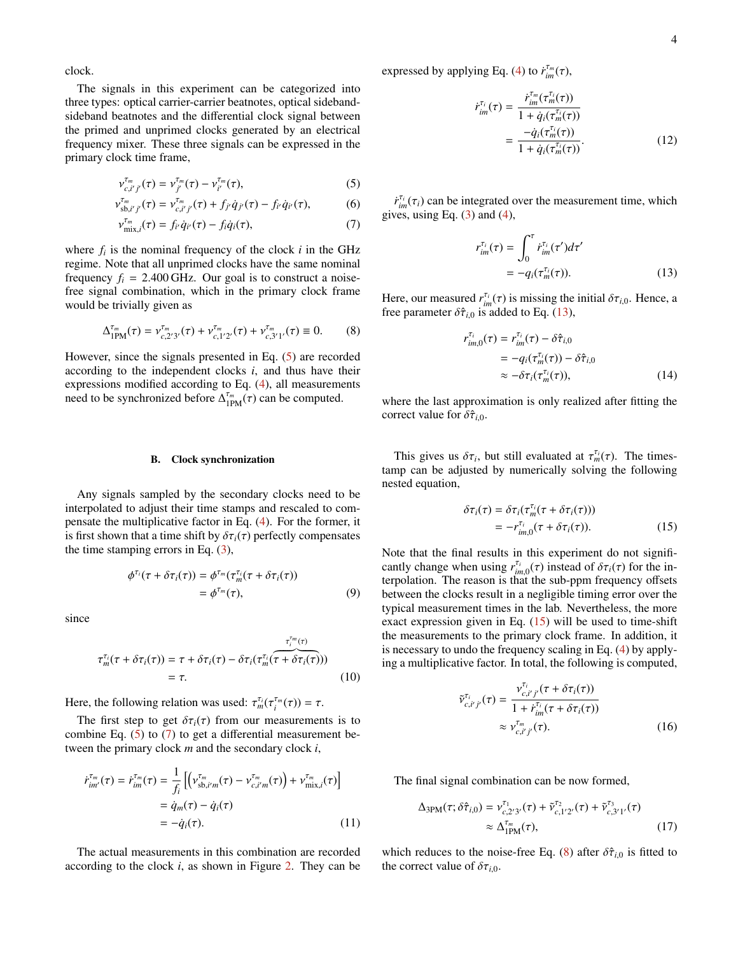clock.

The signals in this experiment can be categorized into three types: optical carrier-carrier beatnotes, optical sidebandsideband beatnotes and the differential clock signal between the primed and unprimed clocks generated by an electrical frequency mixer. These three signals can be expressed in the primary clock time frame,

$$
v_{c,i'j'}^{\tau_m}(\tau) = v_{j'}^{\tau_m}(\tau) - v_{i'}^{\tau_m}(\tau),
$$
\n(5)

$$
\nu_{\text{sb},i'j'}^{\tau_m}(\tau) = \nu_{c,i'j'}^{\tau_m}(\tau) + f_{j'}\dot{q}_{j'}(\tau) - f_{i'}\dot{q}_{i'}(\tau),\tag{6}
$$

$$
\mathcal{V}_{\text{mix},i}^{\tau_m}(\tau) = f_{i'} \dot{q}_{i'}(\tau) - f_i \dot{q}_i(\tau), \tag{7}
$$

where  $f_i$  is the nominal frequency of the clock  $i$  in the GHz regime. Note that all unprimed clocks have the same nominal frequency  $f_i = 2.400$  GHz. Our goal is to construct a noisefree signal combination, which in the primary clock frame would be trivially given as

$$
\Delta_{1PM}^{\tau_m}(\tau) = \nu_{c,2'3'}^{\tau_m}(\tau) + \nu_{c,1'2'}^{\tau_m}(\tau) + \nu_{c,3'1'}^{\tau_m}(\tau) \equiv 0. \tag{8}
$$

However, since the signals presented in Eq. [\(5\)](#page-3-0) are recorded according to the independent clocks *i*, and thus have their expressions modified according to Eq. [\(4\)](#page-2-4), all measurements need to be synchronized before  $\Delta_{1PM}^{\tau_m}(\tau)$  can be computed.

#### B. Clock synchronization

Any signals sampled by the secondary clocks need to be interpolated to adjust their time stamps and rescaled to compensate the multiplicative factor in Eq. [\(4\)](#page-2-4). For the former, it is first shown that a time shift by  $\delta \tau_i(\tau)$  perfectly compensates the time stamping errors in Eq.  $(3)$ ,

$$
\phi^{\tau_i}(\tau + \delta \tau_i(\tau)) = \phi^{\tau_m}(\tau_m^{\tau_i}(\tau + \delta \tau_i(\tau))
$$
  
=  $\phi^{\tau_m}(\tau),$  (9)

since

$$
\tau_m^{\tau_i}(\tau + \delta \tau_i(\tau)) = \tau + \delta \tau_i(\tau) - \delta \tau_i(\tau_m^{\tau_i}(\tau + \delta \tau_i(\tau)))
$$
  
= 
$$
\tau.
$$
 (10)

Here, the following relation was used:  $\tau_m^{\tau_i}(\tau_i^{\tau_m}(\tau)) = \tau$ .

The first step to get  $\delta \tau_i(\tau)$  from our measurements is to combine Eq.  $(5)$  to  $(7)$  to get a differential measurement between the primary clock *m* and the secondary clock *i*,

$$
\dot{r}^{\tau_m}_{im}(\tau) = \dot{r}^{\tau_m}_{im}(\tau) = \frac{1}{f_i} \left[ \left( v^{\tau_m}_{\text{sb},i'm}(\tau) - v^{\tau_m}_{c,i'm}(\tau) \right) + v^{\tau_m}_{\text{mix},i}(\tau) \right]
$$

$$
= \dot{q}_m(\tau) - \dot{q}_i(\tau)
$$

$$
= -\dot{q}_i(\tau). \tag{11}
$$

The actual measurements in this combination are recorded according to the clock *i*, as shown in Figure [2.](#page-2-1) They can be expressed by applying Eq. [\(4\)](#page-2-4) to  $\dot{r}_{im}^{\tau_m}(\tau)$ ,

$$
\dot{r}_{im}^{\tau_i}(\tau) = \frac{\dot{r}_{im}^{\tau_m}(\tau_m^{\tau_i}(\tau))}{1 + \dot{q}_i(\tau_m^{\tau_i}(\tau))} \\
= \frac{-\dot{q}_i(\tau_m^{\tau_i}(\tau))}{1 + \dot{q}_i(\tau_m^{\tau_i}(\tau))}.
$$
\n(12)

<span id="page-3-1"></span><span id="page-3-0"></span> $\dot{r}^{\tau_i}_{im}(\tau_i)$  can be integrated over the measurement time, which  $r^{\tau_i}_{im}$  using Eq. (3) and (4) gives, using Eq.  $(3)$  and  $(4)$ ,

<span id="page-3-2"></span>
$$
r_{im}^{\tau_i}(\tau) = \int_0^{\tau} \dot{r}_{im}^{\tau_i}(\tau')d\tau'
$$
  
=  $-q_i(\tau_m^{\tau_i}(\tau)).$  (13)

<span id="page-3-4"></span>Here, our measured  $r_{in}^{r_i}(\tau)$  is missing the initial  $\delta\tau_{i,0}$ . Hence, a free parameter  $\delta\hat{\tau}_{i,0}$  is added to Eq. (13) free parameter  $\delta \hat{\tau}_{i,0}$  is added to Eq. [\(13\)](#page-3-2),

<span id="page-3-7"></span>
$$
r_{im,0}^{\tau_i}(\tau) = r_{im}^{\tau_i}(\tau) - \delta \hat{\tau}_{i,0}
$$
  
=  $-q_i(\tau_m^{\tau_i}(\tau)) - \delta \hat{\tau}_{i,0}$   
 $\approx -\delta \tau_i(\tau_m^{\tau_i}(\tau)),$  (14)

where the last approximation is only realized after fitting the correct value for  $\delta \hat{\tau}_{i,0}$ .

This gives us  $\delta \tau_i$ , but still evaluated at  $\tau_{ni}^{r_i}(\tau)$ . The times-<br>np can be adjusted by numerically solving the following tamp can be adjusted by numerically solving the following nested equation,

<span id="page-3-3"></span>
$$
\delta \tau_i(\tau) = \delta \tau_i(\tau_m^{\tau_i}(\tau + \delta \tau_i(\tau)))
$$
  
= 
$$
-r_{im,0}^{\tau_i}(\tau + \delta \tau_i(\tau)).
$$
 (15)

Note that the final results in this experiment do not significantly change when using  $r_{im,0}^{T_i}(\tau)$  instead of  $\delta\tau_i(\tau)$  for the in-<br>terpolation. The reason is that the sub-ppm frequency offsets terpolation. The reason is that the sub-ppm frequency offsets between the clocks result in a negligible timing error over the typical measurement times in the lab. Nevertheless, the more exact expression given in Eq.  $(15)$  will be used to time-shift the measurements to the primary clock frame. In addition, it is necessary to undo the frequency scaling in Eq. [\(4\)](#page-2-4) by applying a multiplicative factor. In total, the following is computed,

<span id="page-3-8"></span><span id="page-3-5"></span>
$$
\tilde{\nu}_{c,i'j'}^{\tau_i}(\tau) = \frac{\nu_{c,i'j'}^{\tau_i}(\tau + \delta \tau_i(\tau))}{1 + \dot{r}_{im}^{\tau_i}(\tau + \delta \tau_i(\tau))}
$$
\n
$$
\approx \nu_{c,i'j'}^{\tau_m}(\tau). \tag{16}
$$

The final signal combination can be now formed,

$$
\Delta_{3PM}(\tau; \delta \hat{\tau}_{i,0}) = \nu_{c,2'3'}^{\tau_1}(\tau) + \tilde{\nu}_{c,1'2'}^{\tau_2}(\tau) + \tilde{\nu}_{c,3'1'}^{\tau_3}(\tau)
$$
  
 
$$
\approx \Delta_{1PM}^{\tau_m}(\tau), \tag{17}
$$

<span id="page-3-6"></span>which reduces to the noise-free Eq. [\(8\)](#page-3-4) after  $\delta \hat{\tau}_{i,0}$  is fitted to the correct value of  $\delta\tau_{i,0}$ .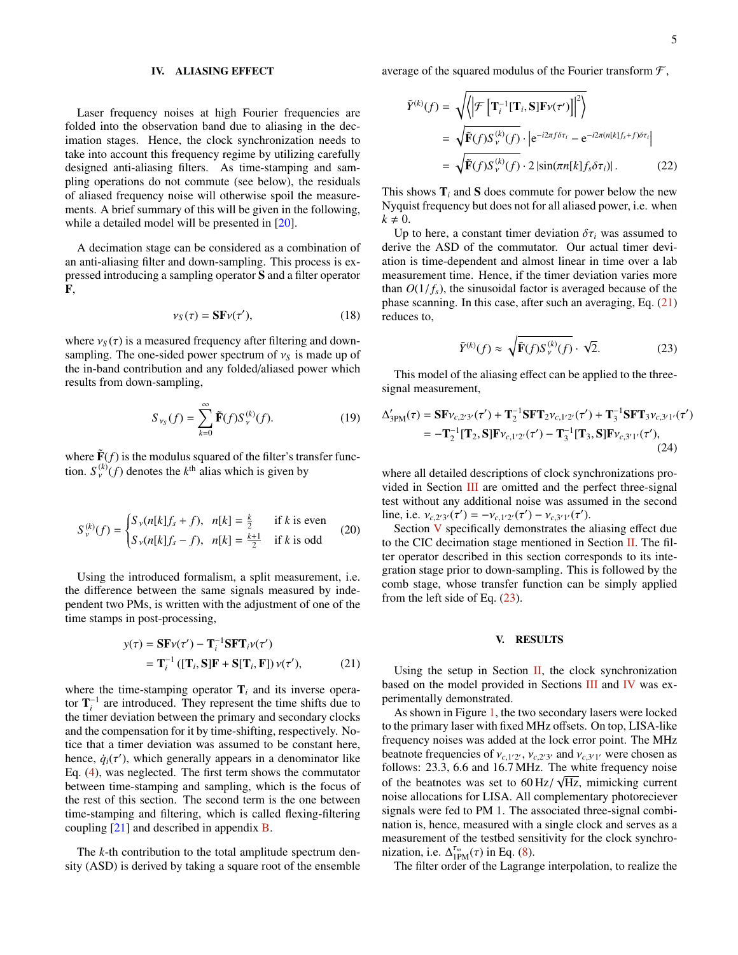#### <span id="page-4-0"></span>IV. ALIASING EFFECT

Laser frequency noises at high Fourier frequencies are folded into the observation band due to aliasing in the decimation stages. Hence, the clock synchronization needs to take into account this frequency regime by utilizing carefully designed anti-aliasing filters. As time-stamping and sampling operations do not commute (see below), the residuals of aliased frequency noise will otherwise spoil the measurements. A brief summary of this will be given in the following, while a detailed model will be presented in [\[20\]](#page-8-16).

A decimation stage can be considered as a combination of an anti-aliasing filter and down-sampling. This process is expressed introducing a sampling operator S and a filter operator F,

$$
\nu_S(\tau) = \mathbf{SF}\nu(\tau'),\tag{18}
$$

where  $v_s(\tau)$  is a measured frequency after filtering and downsampling. The one-sided power spectrum of  $v<sub>S</sub>$  is made up of the in-band contribution and any folded/aliased power which results from down-sampling,

$$
S_{\nu_S}(f) = \sum_{k=0}^{\infty} \tilde{\mathbf{F}}(f) S_{\nu}^{(k)}(f).
$$
 (19)

where  $\tilde{\mathbf{F}}(f)$  is the modulus squared of the filter's transfer function.  $S_Y^{(k)}(f)$  denotes the  $k^{\text{th}}$  alias which is given by

$$
S_{\nu}^{(k)}(f) = \begin{cases} S_{\nu}(n[k]f_s + f), & n[k] = \frac{k}{2} & \text{if } k \text{ is even} \\ S_{\nu}(n[k]f_s - f), & n[k] = \frac{k+1}{2} & \text{if } k \text{ is odd} \end{cases}
$$
(20)

Using the introduced formalism, a split measurement, i.e. the difference between the same signals measured by independent two PMs, is written with the adjustment of one of the time stamps in post-processing,

$$
y(\tau) = \mathbf{SF}\nu(\tau') - \mathbf{T}_i^{-1}\mathbf{SFT}_i\nu(\tau')
$$
  
=  $\mathbf{T}_i^{-1}([\mathbf{T}_i, \mathbf{S}]\mathbf{F} + \mathbf{S}[\mathbf{T}_i, \mathbf{F}])\nu(\tau'),$  (21)

where the time-stamping operator  $\mathbf{T}_i$  and its inverse operator  $\mathbf{T}_i^{-1}$  are introduced. They represent the time shifts due to the timer deviation between the primary and secondary clocks and the compensation for it by time-shifting, respectively. Notice that a timer deviation was assumed to be constant here, hence,  $\dot{q}_i(\tau')$ , which generally appears in a denominator like<br>Eq. (4), was neglected. The first term shows the commutator Eq. [\(4\)](#page-2-4), was neglected. The first term shows the commutator between time-stamping and sampling, which is the focus of the rest of this section. The second term is the one between time-stamping and filtering, which is called flexing-filtering coupling [\[21\]](#page-8-17) and described in appendix [B.](#page-7-2)

The *k*-th contribution to the total amplitude spectrum density (ASD) is derived by taking a square root of the ensemble

$$
\tilde{Y}^{(k)}(f) = \sqrt{\left\langle \left| \mathcal{F} \left[ \mathbf{T}_i^{-1} [\mathbf{T}_i, \mathbf{S}] \mathbf{F} \nu(\tau') \right] \right|^2 \right\rangle}
$$
\n
$$
= \sqrt{\tilde{\mathbf{F}}(f) S_V^{(k)}(f)} \cdot \left| e^{-i2\pi f \delta \tau_i} - e^{-i2\pi (n[k]f_s + f) \delta \tau_i} \right|
$$
\n
$$
= \sqrt{\tilde{\mathbf{F}}(f) S_V^{(k)}(f)} \cdot 2 \left| \sin(\pi n[k] f_s \delta \tau_i) \right|.
$$
\n(22)

This shows  $\mathbf{T}_i$  and  $\mathbf{S}$  does commute for power below the new Nyquist frequency but does not for all aliased power, i.e. when  $k \neq 0$ .

Up to here, a constant timer deviation  $\delta \tau_i$  was assumed to derive the ASD of the commutator. Our actual timer deviation is time-dependent and almost linear in time over a lab measurement time. Hence, if the timer deviation varies more than  $O(1/f_s)$ , the sinusoidal factor is averaged because of the phase scanning. In this case, after such an averaging, Eq. [\(21\)](#page-4-1) reduces to,

<span id="page-4-3"></span>
$$
\tilde{Y}^{(k)}(f) \approx \sqrt{\tilde{\mathbf{F}}(f)S_{\nu}^{(k)}(f)} \cdot \sqrt{2}.
$$
 (23)

This model of the aliasing effect can be applied to the threesignal measurement,

$$
\Delta'_{3PM}(\tau) = \mathbf{SF}_{V_c,2'3'}(\tau') + \mathbf{T}_2^{-1} \mathbf{SFT}_{2V_{c,1'2}(\tau')} + \mathbf{T}_3^{-1} \mathbf{SFT}_{3V_{c,3'1}(\tau')}
$$
  
=  $-\mathbf{T}_2^{-1}[\mathbf{T}_2, \mathbf{S}] \mathbf{F}_{V_{c,1'2}(\tau')} - \mathbf{T}_3^{-1}[\mathbf{T}_3, \mathbf{S}] \mathbf{F}_{V_{c,3'1}(\tau')},$  (24)

where all detailed descriptions of clock synchronizations provided in Section [III](#page-1-0) are omitted and the perfect three-signal test without any additional noise was assumed in the second line, i.e.  $v_{c,2'3'}(\tau') = -v_{c,1'2'}(\tau') - v_{c,3'1'}(\tau')$ .<br>Section V specifically demonstrates the

Section [V](#page-4-2) specifically demonstrates the aliasing effect due to the CIC decimation stage mentioned in Section [II.](#page-1-1) The filter operator described in this section corresponds to its integration stage prior to down-sampling. This is followed by the comb stage, whose transfer function can be simply applied from the left side of Eq. [\(23\)](#page-4-3).

#### <span id="page-4-2"></span>V. RESULTS

<span id="page-4-1"></span>Using the setup in Section  $II$ , the clock synchronization based on the model provided in Sections [III](#page-1-0) and [IV](#page-4-0) was experimentally demonstrated.

As shown in Figure [1,](#page-2-0) the two secondary lasers were locked to the primary laser with fixed MHz offsets. On top, LISA-like frequency noises was added at the lock error point. The MHz beatnote frequencies of  $v_{c,1/2}$ ,  $v_{c,2/3}$  and  $v_{c,3/1}$  were chosen as follows: 23.3, 6.6 and 16.7 MHz. The white frequency noise follows: 23.3, 6.6 and 16.7 MHz. The white frequency noise of the beatnotes was set to  $60 \text{ Hz} / \sqrt{\text{Hz}}$ , mimicking current<br>noise allocations for LISA. All complementary photoreciever noise allocations for LISA. All complementary photoreciever signals were fed to PM 1. The associated three-signal combination is, hence, measured with a single clock and serves as a measurement of the testbed sensitivity for the clock synchronization, i.e.  $\Delta_{\text{IPM}}^{\tau_m}(\tau)$  in Eq. [\(8\)](#page-3-4).<br>The filter order of the Lagran

The filter order of the Lagrange interpolation, to realize the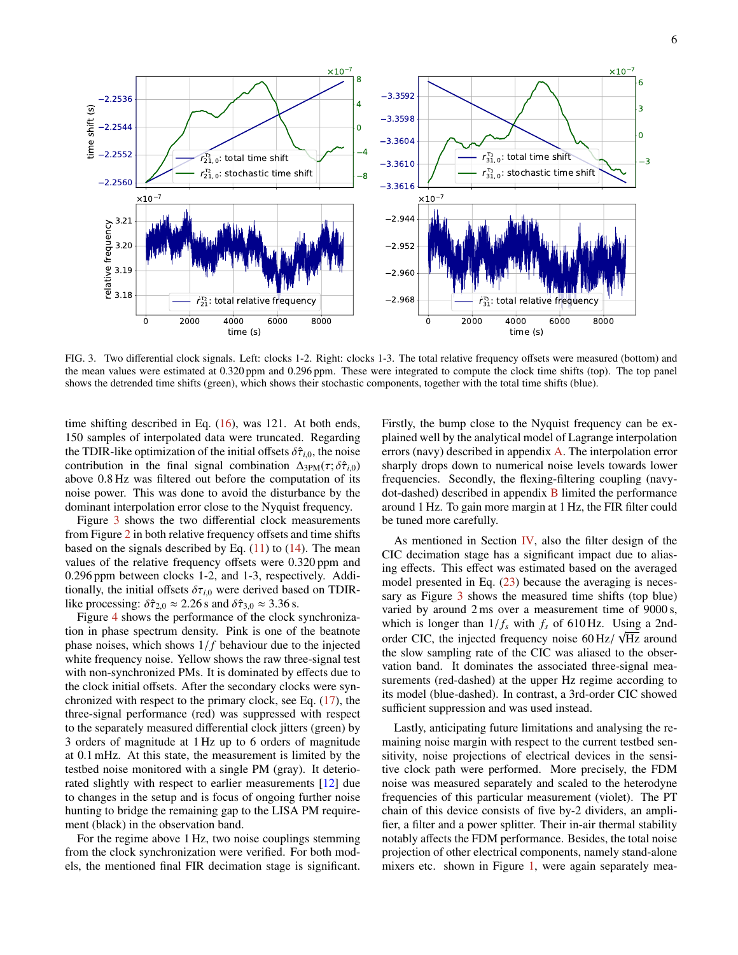

<span id="page-5-0"></span>FIG. 3. Two differential clock signals. Left: clocks 1-2. Right: clocks 1-3. The total relative frequency offsets were measured (bottom) and the mean values were estimated at 0.320 ppm and 0.296 ppm. These were integrated to compute the clock time shifts (top). The top panel shows the detrended time shifts (green), which shows their stochastic components, together with the total time shifts (blue).

time shifting described in Eq. [\(16\)](#page-3-5), was 121. At both ends, 150 samples of interpolated data were truncated. Regarding the TDIR-like optimization of the initial offsets  $\delta \hat{\tau}_{i,0}$ , the noise contribution in the final signal combination  $\Delta_{3PM}(\tau; \delta \hat{\tau}_{i,0})$ above 0.8 Hz was filtered out before the computation of its noise power. This was done to avoid the disturbance by the dominant interpolation error close to the Nyquist frequency.

Figure [3](#page-5-0) shows the two differential clock measurements from Figure [2](#page-2-1) in both relative frequency offsets and time shifts based on the signals described by Eq.  $(11)$  to  $(14)$ . The mean values of the relative frequency offsets were 0.320 ppm and <sup>0</sup>.296 ppm between clocks 1-2, and 1-3, respectively. Additionally, the initial offsets  $\delta\tau_{i,0}$  were derived based on TDIRlike processing:  $\delta \hat{\tau}_{2,0} \approx 2.26$  s and  $\delta \hat{\tau}_{3,0} \approx 3.36$  s.

Figure [4](#page-6-0) shows the performance of the clock synchronization in phase spectrum density. Pink is one of the beatnote phase noises, which shows  $1/f$  behaviour due to the injected white frequency noise. Yellow shows the raw three-signal test with non-synchronized PMs. It is dominated by effects due to the clock initial offsets. After the secondary clocks were synchronized with respect to the primary clock, see Eq. [\(17\)](#page-3-8), the three-signal performance (red) was suppressed with respect to the separately measured differential clock jitters (green) by 3 orders of magnitude at 1 Hz up to 6 orders of magnitude at 0.1 mHz. At this state, the measurement is limited by the testbed noise monitored with a single PM (gray). It deteriorated slightly with respect to earlier measurements [\[12\]](#page-8-8) due to changes in the setup and is focus of ongoing further noise hunting to bridge the remaining gap to the LISA PM requirement (black) in the observation band.

For the regime above 1 Hz, two noise couplings stemming from the clock synchronization were verified. For both models, the mentioned final FIR decimation stage is significant.

Firstly, the bump close to the Nyquist frequency can be explained well by the analytical model of Lagrange interpolation errors (navy) described in appendix [A.](#page-7-3) The interpolation error sharply drops down to numerical noise levels towards lower frequencies. Secondly, the flexing-filtering coupling (navydot-dashed) described in appendix [B](#page-7-2) limited the performance around 1 Hz. To gain more margin at 1 Hz, the FIR filter could be tuned more carefully.

As mentioned in Section  $IV$ , also the filter design of the CIC decimation stage has a significant impact due to aliasing effects. This effect was estimated based on the averaged model presented in Eq.  $(23)$  because the averaging is necessary as Figure [3](#page-5-0) shows the measured time shifts (top blue) varied by around 2 ms over a measurement time of 9000 s, which is longer than  $1/f_s$  with  $f_s$  of 610 Hz. Using a 2ndorder CIC, the injected frequency noise  $60 \text{ Hz} / \sqrt{\text{Hz}}$  around the slow sampling rate of the CIC was aliased to the obserthe slow sampling rate of the CIC was aliased to the observation band. It dominates the associated three-signal measurements (red-dashed) at the upper Hz regime according to its model (blue-dashed). In contrast, a 3rd-order CIC showed sufficient suppression and was used instead.

Lastly, anticipating future limitations and analysing the remaining noise margin with respect to the current testbed sensitivity, noise projections of electrical devices in the sensitive clock path were performed. More precisely, the FDM noise was measured separately and scaled to the heterodyne frequencies of this particular measurement (violet). The PT chain of this device consists of five by-2 dividers, an amplifier, a filter and a power splitter. Their in-air thermal stability notably affects the FDM performance. Besides, the total noise projection of other electrical components, namely stand-alone mixers etc. shown in Figure [1,](#page-2-0) were again separately mea-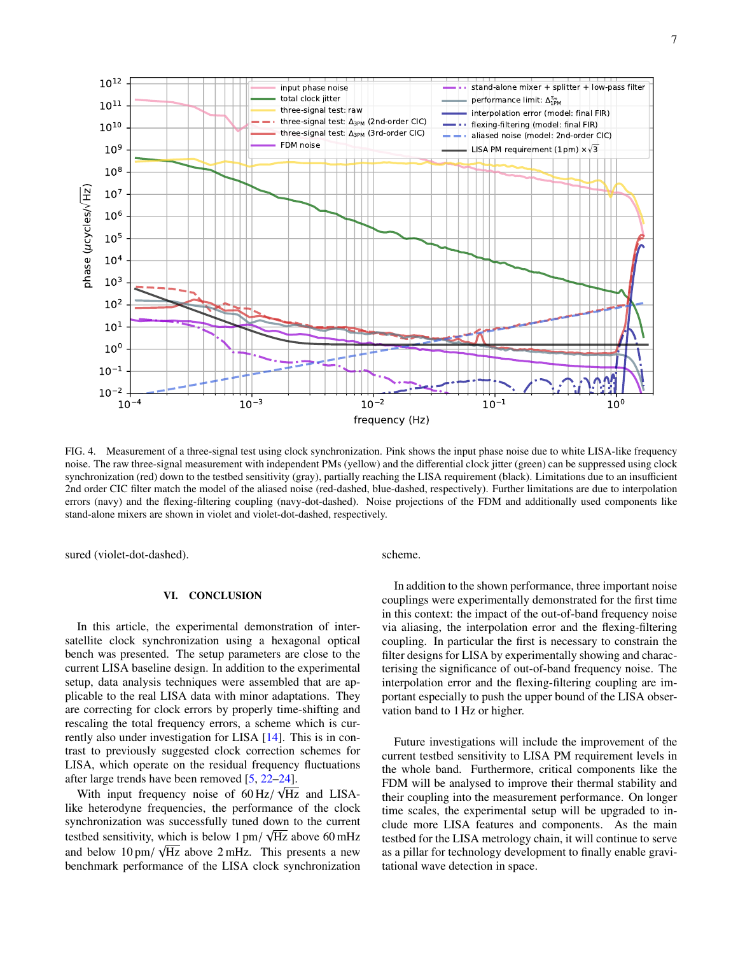

<span id="page-6-0"></span>FIG. 4. Measurement of a three-signal test using clock synchronization. Pink shows the input phase noise due to white LISA-like frequency noise. The raw three-signal measurement with independent PMs (yellow) and the differential clock jitter (green) can be suppressed using clock synchronization (red) down to the testbed sensitivity (gray), partially reaching the LISA requirement (black). Limitations due to an insufficient 2nd order CIC filter match the model of the aliased noise (red-dashed, blue-dashed, respectively). Further limitations are due to interpolation errors (navy) and the flexing-filtering coupling (navy-dot-dashed). Noise projections of the FDM and additionally used components like stand-alone mixers are shown in violet and violet-dot-dashed, respectively.

sured (violet-dot-dashed).

### VI. CONCLUSION

In this article, the experimental demonstration of intersatellite clock synchronization using a hexagonal optical bench was presented. The setup parameters are close to the current LISA baseline design. In addition to the experimental setup, data analysis techniques were assembled that are applicable to the real LISA data with minor adaptations. They are correcting for clock errors by properly time-shifting and rescaling the total frequency errors, a scheme which is currently also under investigation for LISA [\[14\]](#page-8-10). This is in contrast to previously suggested clock correction schemes for LISA, which operate on the residual frequency fluctuations after large trends have been removed  $[5, 22-24]$  $[5, 22-24]$  $[5, 22-24]$  $[5, 22-24]$ .

With input frequency noise of  $60 \text{ Hz} / \sqrt{\text{Hz}}$  and LISA-<br>e-heterodyne frequencies the performance of the clock like heterodyne frequencies, the performance of the clock synchronization was successfully tuned down to the current testbed sensitivity, which is below  $1 \text{ pm}/\sqrt{\text{Hz}}$  above 60 mHz and below 10 pm/ Hz above 2 mHz. This presents a new benchmark performance of the LISA clock synchronization scheme.

In addition to the shown performance, three important noise couplings were experimentally demonstrated for the first time in this context: the impact of the out-of-band frequency noise via aliasing, the interpolation error and the flexing-filtering coupling. In particular the first is necessary to constrain the filter designs for LISA by experimentally showing and characterising the significance of out-of-band frequency noise. The interpolation error and the flexing-filtering coupling are important especially to push the upper bound of the LISA observation band to 1 Hz or higher.

Future investigations will include the improvement of the current testbed sensitivity to LISA PM requirement levels in the whole band. Furthermore, critical components like the FDM will be analysed to improve their thermal stability and their coupling into the measurement performance. On longer time scales, the experimental setup will be upgraded to include more LISA features and components. As the main testbed for the LISA metrology chain, it will continue to serve as a pillar for technology development to finally enable gravitational wave detection in space.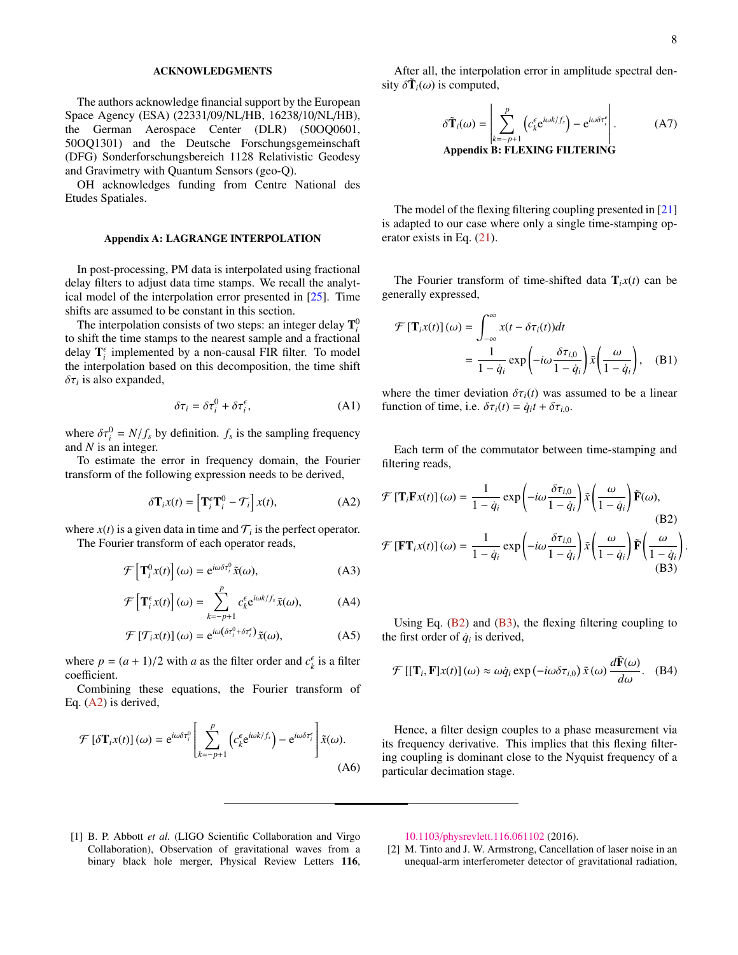## ACKNOWLEDGMENTS

The authors acknowledge financial support by the European Space Agency (ESA) (22331/09/NL/HB, 16238/10/NL/HB), the German Aerospace Center (DLR) (50OQ0601, 50OQ1301) and the Deutsche Forschungsgemeinschaft (DFG) Sonderforschungsbereich 1128 Relativistic Geodesy and Gravimetry with Quantum Sensors (geo-Q).

OH acknowledges funding from Centre National des Etudes Spatiales.

### <span id="page-7-3"></span>Appendix A: LAGRANGE INTERPOLATION

In post-processing, PM data is interpolated using fractional delay filters to adjust data time stamps. We recall the analytical model of the interpolation error presented in [\[25\]](#page-8-20). Time shifts are assumed to be constant in this section.

The interpolation consists of two steps: an integer delay  $\mathbf{T}_i^0$ to shift the time stamps to the nearest sample and a fractional delay  $\mathbf{T}_i^{\epsilon}$  implemented by a non-causal FIR filter. To model the interpolation based on this decomposition, the time shift  $\delta \tau_i$  is also expanded,

$$
\delta \tau_i = \delta \tau_i^0 + \delta \tau_i^\epsilon, \tag{A1}
$$

where  $\delta \tau_i^0 = N/f_s$  by definition.  $f_s$  is the sampling frequency and N is an integer and *N* is an integer.

To estimate the error in frequency domain, the Fourier transform of the following expression needs to be derived,

$$
\delta \mathbf{T}_i x(t) = \left[ \mathbf{T}_i^{\epsilon} \mathbf{T}_i^0 - \mathcal{T}_i \right] x(t), \tag{A2}
$$

where  $x(t)$  is a given data in time and  $\mathcal{T}_i$  is the perfect operator.

The Fourier transform of each operator reads,

$$
\mathcal{F}\left[\mathbf{T}_{i}^{0}x(t)\right](\omega) = e^{i\omega\delta\tau_{i}^{0}}\tilde{x}(\omega),
$$
\n(A3)

$$
\mathcal{F}\left[\mathbf{T}_{i}^{\epsilon}x(t)\right](\omega)=\sum_{k=-p+1}^{r}c_{k}^{\epsilon}e^{i\omega k/f_{s}}\tilde{x}(\omega),\tag{A4}
$$

$$
\mathcal{F}\left[\mathcal{T}_{i}x(t)\right](\omega) = e^{i\omega(\delta\tau_{i}^{0} + \delta\tau_{i}^{e})}\tilde{x}(\omega),\tag{A5}
$$

where  $p = (a + 1)/2$  with *a* as the filter order and  $c_k^{\epsilon}$  is a filter coefficient coefficient.

Combining these equations, the Fourier transform of Eq. [\(A2\)](#page-7-4) is derived,

$$
\mathcal{F}\left[\delta\mathbf{T}_{i}x(t)\right](\omega) = e^{i\omega\delta\tau_{i}^{0}}\left[\sum_{k=-p+1}^{p}\left(c_{k}^{\epsilon}e^{i\omega k/f_{s}}\right)-e^{i\omega\delta\tau_{i}^{\epsilon}}\right]\tilde{x}(\omega).
$$
\n(A6)

After all, the interpolation error in amplitude spectral density  $\delta \tilde{\mathbf{T}}_i(\omega)$  is computed,

<span id="page-7-2"></span>
$$
\delta \tilde{\mathbf{T}}_i(\omega) = \left| \sum_{k=-p+1}^p \left( c_k^{\epsilon} e^{i\omega k/f_s} \right) - e^{i\omega \delta \tau_i^{\epsilon}} \right|.
$$
 (A7)  
Appendix B: FLEXING FUTERING

The model of the flexing filtering coupling presented in [\[21\]](#page-8-17) is adapted to our case where only a single time-stamping operator exists in Eq. [\(21\)](#page-4-1).

The Fourier transform of time-shifted data  $\mathbf{T}_{i}x(t)$  can be generally expressed,

$$
\mathcal{F}\left[\mathbf{T}_{i}x(t)\right](\omega) = \int_{-\infty}^{\infty} x(t - \delta\tau_{i}(t))dt
$$

$$
= \frac{1}{1 - \dot{q}_{i}} \exp\left(-i\omega \frac{\delta\tau_{i,0}}{1 - \dot{q}_{i}}\right) \tilde{x}\left(\frac{\omega}{1 - \dot{q}_{i}}\right), \quad (B1)
$$

where the timer deviation  $\delta \tau_i(t)$  was assumed to be a linear function of time, i.e.  $\delta \tau_i(t) = \dot{q}_i t + \delta \tau_{i,0}$ .

Each term of the commutator between time-stamping and filtering reads,

<span id="page-7-5"></span><span id="page-7-4"></span>
$$
\mathcal{F}\left[\mathbf{T}_{i}\mathbf{F}x(t)\right](\omega) = \frac{1}{1-\dot{q}_{i}}\exp\left(-i\omega\frac{\delta\tau_{i,0}}{1-\dot{q}_{i}}\right)\tilde{x}\left(\frac{\omega}{1-\dot{q}_{i}}\right)\tilde{\mathbf{F}}(\omega),\tag{B2}
$$
\n
$$
\mathcal{F}\left[\mathbf{F}\mathbf{T}_{i}x(t)\right](\omega) = \frac{1}{1-\dot{q}_{i}}\exp\left(-i\omega\frac{\delta\tau_{i,0}}{1-\dot{q}_{i}}\right)\tilde{x}\left(\frac{\omega}{1-\dot{q}_{i}}\right)\tilde{\mathbf{F}}\left(\frac{\omega}{1-\dot{q}_{i}}\right)
$$
\n(B3)

Using Eq.  $(B2)$  and  $(B3)$ , the flexing filtering coupling to the first order of  $\dot{q}_i$  is derived,

<span id="page-7-6"></span>
$$
\mathcal{F}\left[\left[\mathbf{T}_{i},\mathbf{F}\right]x(t)\right](\omega) \approx \omega \dot{q}_{i} \exp\left(-i\omega \delta \tau_{i,0}\right) \tilde{x}(\omega) \frac{d\tilde{\mathbf{F}}(\omega)}{d\omega}.\tag{B4}
$$

Hence, a filter design couples to a phase measurement via its frequency derivative. This implies that this flexing filtering coupling is dominant close to the Nyquist frequency of a particular decimation stage.

<span id="page-7-0"></span>[1] B. P. Abbott *et al.* (LIGO Scientific Collaboration and Virgo Collaboration), Observation of gravitational waves from a binary black hole merger, Physical Review Letters 116, 10.1103/[physrevlett.116.061102](https://doi.org/10.1103/physrevlett.116.061102) (2016).

<span id="page-7-1"></span>[2] M. Tinto and J. W. Armstrong, Cancellation of laser noise in an unequal-arm interferometer detector of gravitational radiation,